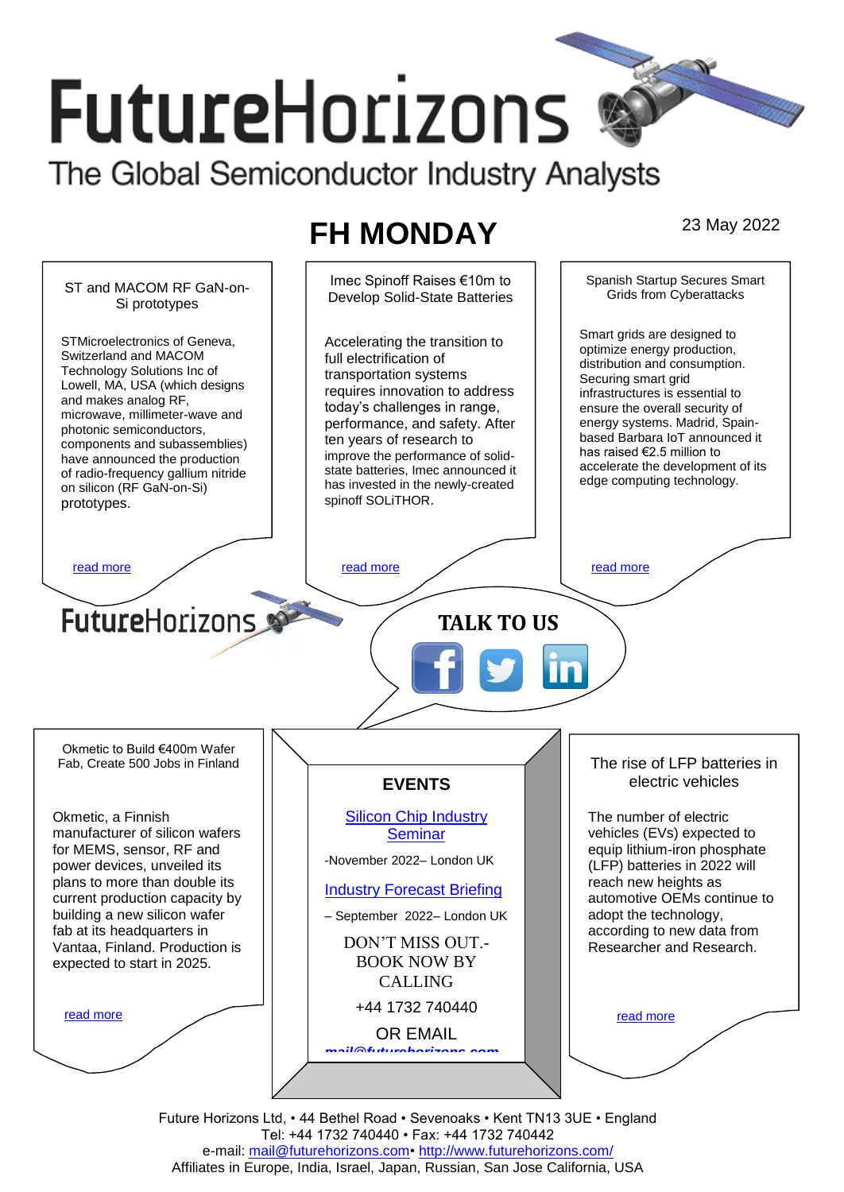# **FutureHorizons**

The Global Semiconductor Industry Analysts

# **FH MONDAY** 23 May 2022



Future Horizons Ltd, • 44 Bethel Road • Sevenoaks • Kent TN13 3UE • England Tel: +44 1732 740440 • Fax: +44 1732 740442 e-mail: mail@futurehorizons.com• http://www.futurehorizons.com/ Affiliates in Europe, India, Israel, Japan, Russian, San Jose California, USA